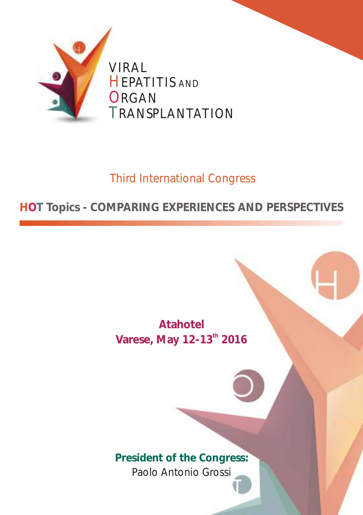

# Third International Congress

## **HOT Topics - COMPARING EXPERIENCES AND PERSPECTIVES**

**Atahotel**  Varese, May 12-13<sup>th</sup> 2016

**President of the Congress:** Paolo Antonio Grossi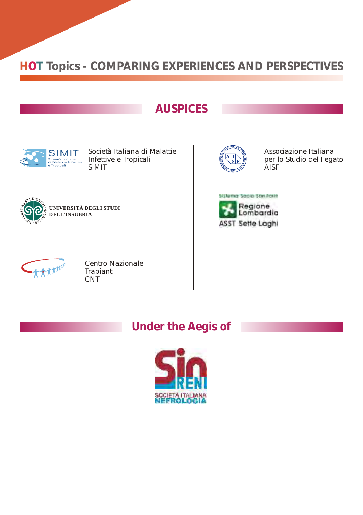#### **AUSPICES**



Società Italiana di Malattie Infettive e Tropicali SIMIT



Associazione Italiana per lo Studio del Fegato **AISF** 







Centro Nazionale Trapianti **CNT** 

### **Under the Aegis of**

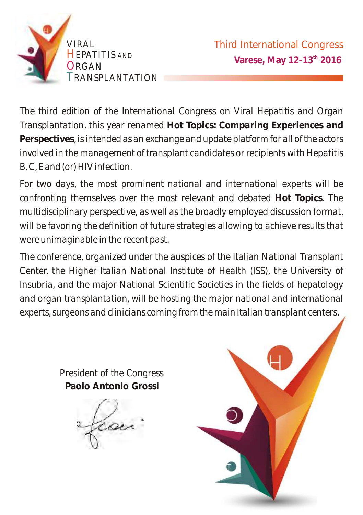

*The third edition of the International Congress on Viral Hepatitis and Organ Transplantation, this year renamed Hot Topics: Comparing Experiences and Perspectives, is intended as an exchange and update platform for all of the actors involved in the management of transplant candidates or recipients with Hepatitis B, C, E and (or) HIV infection.* 

*For two days, the most prominent national and international experts will be confronting themselves over the most relevant and debated Hot Topics. The multidisciplinary perspective, as well as the broadly employed discussion format, will be favoring the definition of future strategies allowing to achieve results that were unimaginable in the recent past.* 

*The conference, organized under the auspices of the Italian National Transplant Center, the Higher Italian National Institute of Health (ISS), the University of Insubria, and the major National Scientific Societies in the fields of hepatology and organ transplantation, will be hosting the major national and international experts, surgeons and clinicians coming from the main Italian transplant centers.* 

> *President of the Congress* **Paolo Antonio Grossi**

a

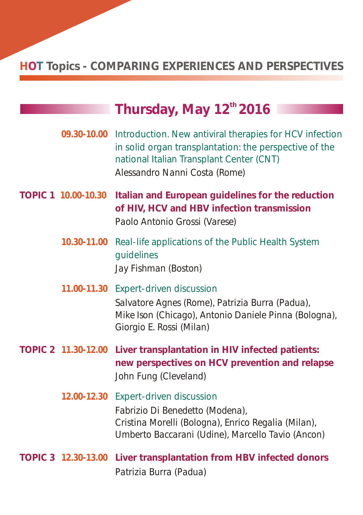|  |                     | Thursday, May 12 <sup>th</sup> 2016                                                                                                                                                                        |
|--|---------------------|------------------------------------------------------------------------------------------------------------------------------------------------------------------------------------------------------------|
|  |                     | 09.30-10.00 Introduction. New antiviral therapies for HCV infection<br>in solid organ transplantation: the perspective of the<br>national Italian Transplant Center (CNT)<br>Alessandro Nanni Costa (Rome) |
|  | TOPIC 1 10.00-10.30 | Italian and European guidelines for the reduction<br>of HIV, HCV and HBV infection transmission<br>Paolo Antonio Grossi (Varese)                                                                           |
|  | 10.30-11.00         | Real-life applications of the Public Health System<br>guidelines<br>Jay Fishman (Boston)                                                                                                                   |
|  | 11.00-11.30         | Expert-driven discussion<br>Salvatore Agnes (Rome), Patrizia Burra (Padua),<br>Mike Ison (Chicago), Antonio Daniele Pinna (Bologna),<br>Giorgio E. Rossi (Milan)                                           |
|  | TOPIC 2 11.30-12.00 | Liver transplantation in HIV infected patients:<br>new perspectives on HCV prevention and relapse<br>John Fung (Cleveland)                                                                                 |
|  |                     | 12.00-12.30 Expert-driven discussion<br>Fabrizio Di Benedetto (Modena),<br>Cristina Morelli (Bologna), Enrico Regalia (Milan),<br>Umberto Baccarani (Udine), Marcello Tavio (Ancon)                        |
|  | TOPIC 3 12.30-13.00 | Liver transplantation from HBV infected donors<br>Patrizia Burra (Padua)                                                                                                                                   |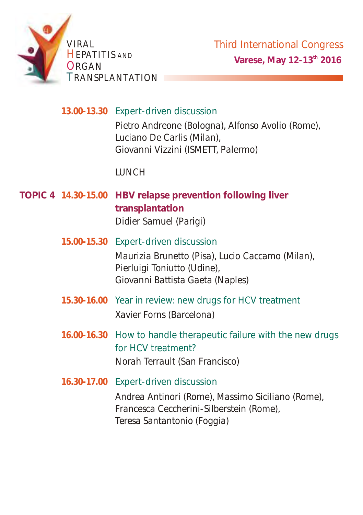

**13.00-13.30** Expert-driven discussion *Pietro Andreone (Bologna), Alfonso Avolio (Rome), Luciano De Carlis (Milan), Giovanni Vizzini (ISMETT, Palermo)*

*LUNCH*

- *Didier Samuel (Parigi)* **10PIC 4 14.30-15.00 HBV relapse prevention following liver transplantation**
	- *Maurizia Brunetto (Pisa), Lucio Caccamo (Milan), Pierluigi Toniutto (Udine), Giovanni Battista Gaeta (Naples)* **15.00-15.30** Expert-driven discussion
	- **15.30-16.00** Year in review: new drugs for HCV treatment *Xavier Forns (Barcelona)*
	- **16.00-16.30** How to handle therapeutic failure with the new drugs for HCV treatment? *Norah Terrault (San Francisco)*

**16.30-17.00** Expert-driven discussion *Andrea Antinori (Rome), Massimo Siciliano (Rome), Francesca Ceccherini-Silberstein (Rome), Teresa Santantonio (Foggia)*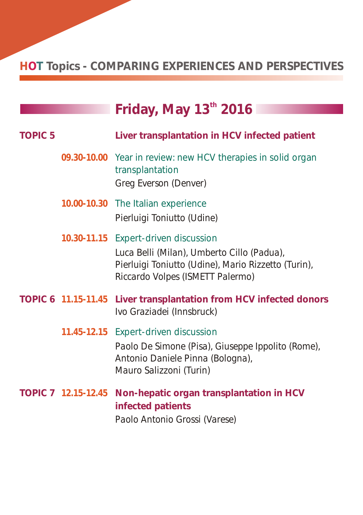|                |             | Friday, May 13 <sup>th</sup> 2016                                                                                                                                             |
|----------------|-------------|-------------------------------------------------------------------------------------------------------------------------------------------------------------------------------|
|                |             |                                                                                                                                                                               |
| <b>TOPIC 5</b> |             | Liver transplantation in HCV infected patient                                                                                                                                 |
|                |             | 09.30-10.00 Year in review: new HCV therapies in solid organ<br>transplantation<br>Greg Everson (Denver)                                                                      |
|                |             | 10.00-10.30 The Italian experience                                                                                                                                            |
|                |             | Pierluigi Toniutto (Udine)                                                                                                                                                    |
|                |             | 10.30-11.15 Expert-driven discussion<br>Luca Belli (Milan), Umberto Cillo (Padua),<br>Pierluigi Toniutto (Udine), Mario Rizzetto (Turin),<br>Riccardo Volpes (ISMETT Palermo) |
|                |             | TOPIC 6 11.15-11.45 Liver transplantation from HCV infected donors<br>Ivo Graziadei (Innsbruck)                                                                               |
|                | 11.45-12.15 | Expert-driven discussion<br>Paolo De Simone (Pisa), Giuseppe Ippolito (Rome),<br>Antonio Daniele Pinna (Bologna),<br>Mauro Salizzoni (Turin)                                  |
|                |             | TOPIC 7 12.15-12.45 Non-hepatic organ transplantation in HCV<br>infected patients<br>Paolo Antonio Grossi (Varese)                                                            |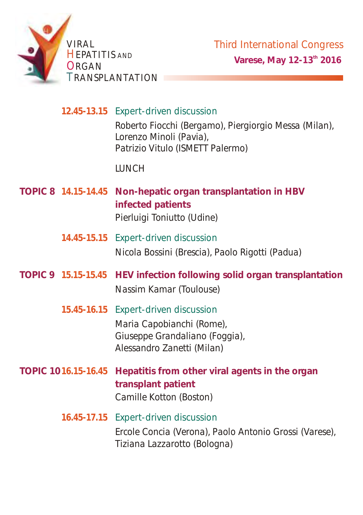

**12.45-13.15** Expert-driven discussion

*Roberto Fiocchi (Bergamo), Piergiorgio Messa (Milan), Lorenzo Minoli (Pavia), Patrizio Vitulo (ISMETT Palermo)* 

*LUNCH*

- *Pierluigi Toniutto (Udine)* **14.15-14.45 TOPIC 8 Non-hepatic organ transplantation in HBV infected patients** 
	- *Nicola Bossini (Brescia), Paolo Rigotti (Padua)* **14.45-15.15** Expert-driven discussion
- *Nassim Kamar (Toulouse)* **15.15-15.45 TOPIC 9 HEV infection following solid organ transplantation**
	- *Maria Capobianchi (Rome), Giuseppe Grandaliano (Foggia), Alessandro Zanetti (Milan)* **15.45-16.15** Expert-driven discussion
- *Camille Kotton (Boston)* **16.16.15-16.45** Hepatitis from other viral agents in the organ **transplant patient** 
	- *Ercole Concia (Verona), Paolo Antonio Grossi (Varese), Tiziana Lazzarotto (Bologna)*  **16.45-17.15** Expert-driven discussion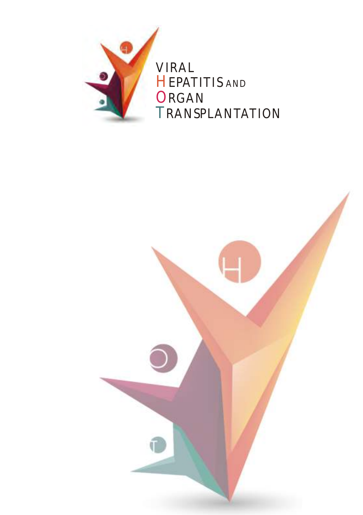

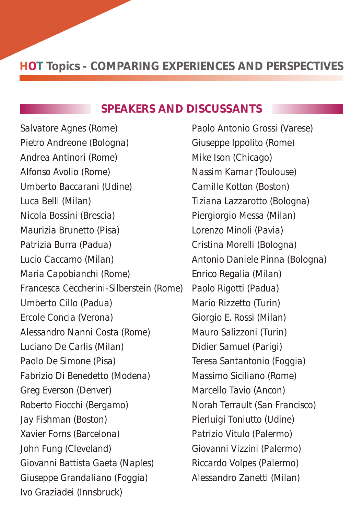#### **SPEAKERS AND DISCUSSANTS**

*Salvatore Agnes (Rome) Pietro Andreone (Bologna) Andrea Antinori (Rome) Alfonso Avolio (Rome) Luca Belli (Milan) Francesca Ceccherini-Silberstein (Rome) Umberto Cillo (Padua) Luciano De Carlis (Milan) Paolo De Simone (Pisa) Xavier Forns (Barcelona) Umberto Baccarani (Udine) Nicola Bossini (Brescia) Maurizia Brunetto (Pisa) Patrizia Burra (Padua) Lucio Caccamo (Milan) Maria Capobianchi (Rome) Ercole Concia (Verona) Alessandro Nanni Costa (Rome) Fabrizio Di Benedetto (Modena) Greg Everson (Denver) Roberto Fiocchi (Bergamo) Jay Fishman (Boston) John Fung (Cleveland) Giovanni Battista Gaeta (Naples) Giuseppe Grandaliano (Foggia) Ivo Graziadei (Innsbruck)*

*Paolo Antonio Grossi (Varese) Nassim Kamar (Toulouse) Camille Kotton (Boston) Tiziana Lazzarotto (Bologna) Piergiorgio Messa (Milan) Lorenzo Minoli (Pavia) Cristina Morelli (Bologna) Antonio Daniele Pinna (Bologna) Enrico Regalia (Milan) Paolo Rigotti (Padua) Giorgio E. Rossi (Milan) Didier Samuel (Parigi) Marcello Tavio (Ancon) Pierluigi Toniutto (Udine) Alessandro Zanetti (Milan) Giuseppe Ippolito (Rome) Mike Ison (Chicago) Mario Rizzetto (Turin) Mauro Salizzoni (Turin) Teresa Santantonio (Foggia) Massimo Siciliano (Rome) Norah Terrault (San Francisco) Patrizio Vitulo (Palermo) Giovanni Vizzini (Palermo) Riccardo Volpes (Palermo)*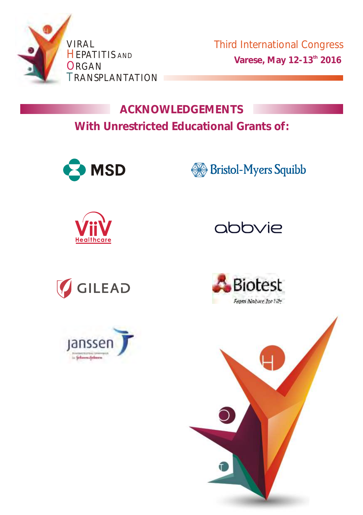

Third International Congress **Varese, May 12-13<sup>th</sup> 2016** 

**ACKNOWLEDGEMENTS With Unrestricted Educational Grants of:**















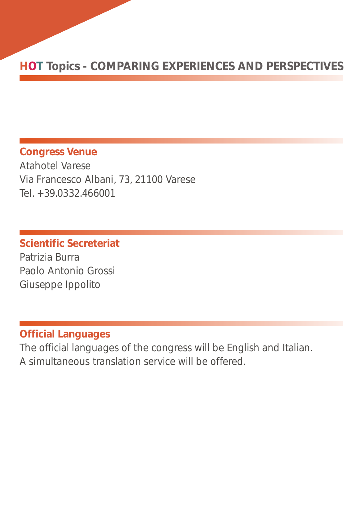**Congress Venue** Atahotel Varese Via Francesco Albani, 73, 21100 Varese Tel. +39.0332.466001

**Scientific Secreteriat** Patrizia Burra Paolo Antonio Grossi Giuseppe Ippolito

#### **Official Languages**

The official languages of the congress will be English and Italian. A simultaneous translation service will be offered.